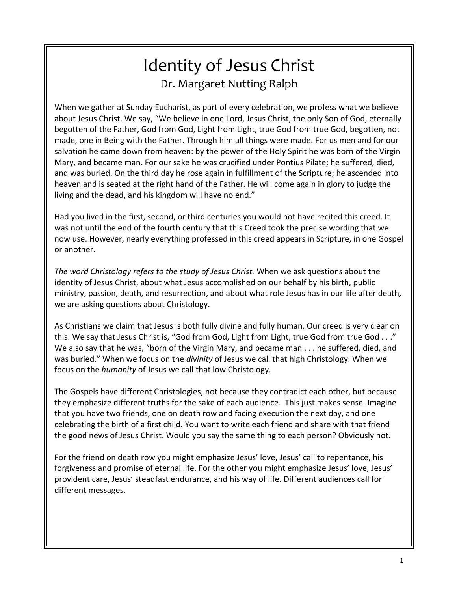# Identity of Jesus Christ Dr. Margaret Nutting Ralph

When we gather at Sunday Eucharist, as part of every celebration, we profess what we believe about Jesus Christ. We say, "We believe in one Lord, Jesus Christ, the only Son of God, eternally begotten of the Father, God from God, Light from Light, true God from true God, begotten, not made, one in Being with the Father. Through him all things were made. For us men and for our salvation he came down from heaven: by the power of the Holy Spirit he was born of the Virgin Mary, and became man. For our sake he was crucified under Pontius Pilate; he suffered, died, and was buried. On the third day he rose again in fulfillment of the Scripture; he ascended into heaven and is seated at the right hand of the Father. He will come again in glory to judge the living and the dead, and his kingdom will have no end."

Had you lived in the first, second, or third centuries you would not have recited this creed. It was not until the end of the fourth century that this Creed took the precise wording that we now use. However, nearly everything professed in this creed appears in Scripture, in one Gospel or another.

*The word Christology refers to the study of Jesus Christ.* When we ask questions about the identity of Jesus Christ, about what Jesus accomplished on our behalf by his birth, public ministry, passion, death, and resurrection, and about what role Jesus has in our life after death, we are asking questions about Christology.

As Christians we claim that Jesus is both fully divine and fully human. Our creed is very clear on this: We say that Jesus Christ is, "God from God, Light from Light, true God from true God . . ." We also say that he was, "born of the Virgin Mary, and became man . . . he suffered, died, and was buried." When we focus on the *divinity* of Jesus we call that high Christology. When we focus on the *humanity* of Jesus we call that low Christology.

The Gospels have different Christologies, not because they contradict each other, but because they emphasize different truths for the sake of each audience. This just makes sense. Imagine that you have two friends, one on death row and facing execution the next day, and one celebrating the birth of a first child. You want to write each friend and share with that friend the good news of Jesus Christ. Would you say the same thing to each person? Obviously not.

For the friend on death row you might emphasize Jesus' love, Jesus' call to repentance, his forgiveness and promise of eternal life. For the other you might emphasize Jesus' love, Jesus' provident care, Jesus' steadfast endurance, and his way of life. Different audiences call for different messages.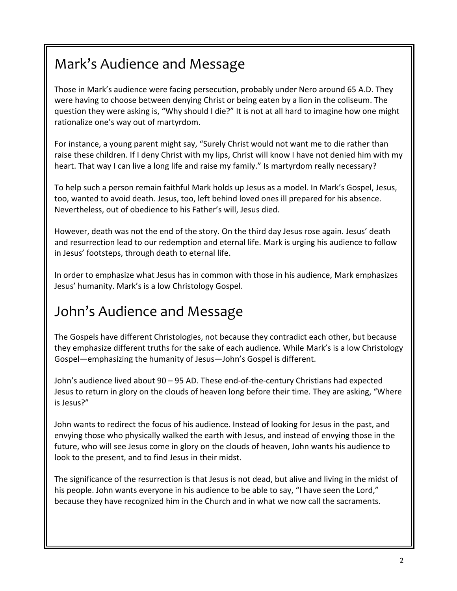# Mark's Audience and Message

Those in Mark's audience were facing persecution, probably under Nero around 65 A.D. They were having to choose between denying Christ or being eaten by a lion in the coliseum. The question they were asking is, "Why should I die?" It is not at all hard to imagine how one might rationalize one's way out of martyrdom.

For instance, a young parent might say, "Surely Christ would not want me to die rather than raise these children. If I deny Christ with my lips, Christ will know I have not denied him with my heart. That way I can live a long life and raise my family." Is martyrdom really necessary?

To help such a person remain faithful Mark holds up Jesus as a model. In Mark's Gospel, Jesus, too, wanted to avoid death. Jesus, too, left behind loved ones ill prepared for his absence. Nevertheless, out of obedience to his Father's will, Jesus died.

However, death was not the end of the story. On the third day Jesus rose again. Jesus' death and resurrection lead to our redemption and eternal life. Mark is urging his audience to follow in Jesus' footsteps, through death to eternal life.

In order to emphasize what Jesus has in common with those in his audience, Mark emphasizes Jesus' humanity. Mark's is a low Christology Gospel.

## John's Audience and Message

The Gospels have different Christologies, not because they contradict each other, but because they emphasize different truths for the sake of each audience. While Mark's is a low Christology Gospel—emphasizing the humanity of Jesus—John's Gospel is different.

John's audience lived about 90 – 95 AD. These end-of-the-century Christians had expected Jesus to return in glory on the clouds of heaven long before their time. They are asking, "Where is Jesus?"

John wants to redirect the focus of his audience. Instead of looking for Jesus in the past, and envying those who physically walked the earth with Jesus, and instead of envying those in the future, who will see Jesus come in glory on the clouds of heaven, John wants his audience to look to the present, and to find Jesus in their midst.

The significance of the resurrection is that Jesus is not dead, but alive and living in the midst of his people. John wants everyone in his audience to be able to say, "I have seen the Lord," because they have recognized him in the Church and in what we now call the sacraments.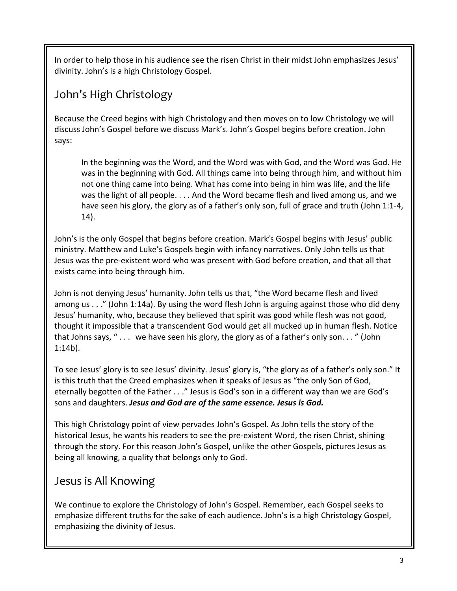In order to help those in his audience see the risen Christ in their midst John emphasizes Jesus' divinity. John's is a high Christology Gospel.

### John's High Christology

Because the Creed begins with high Christology and then moves on to low Christology we will discuss John's Gospel before we discuss Mark's. John's Gospel begins before creation. John says:

In the beginning was the Word, and the Word was with God, and the Word was God. He was in the beginning with God. All things came into being through him, and without him not one thing came into being. What has come into being in him was life, and the life was the light of all people. . . . And the Word became flesh and lived among us, and we have seen his glory, the glory as of a father's only son, full of grace and truth (John 1:1-4, 14).

John's is the only Gospel that begins before creation. Mark's Gospel begins with Jesus' public ministry. Matthew and Luke's Gospels begin with infancy narratives. Only John tells us that Jesus was the pre-existent word who was present with God before creation, and that all that exists came into being through him.

John is not denying Jesus' humanity. John tells us that, "the Word became flesh and lived among us . . ." (John 1:14a). By using the word flesh John is arguing against those who did deny Jesus' humanity, who, because they believed that spirit was good while flesh was not good, thought it impossible that a transcendent God would get all mucked up in human flesh. Notice that Johns says, " . . . we have seen his glory, the glory as of a father's only son. . . " (John 1:14b).

To see Jesus' glory is to see Jesus' divinity. Jesus' glory is, "the glory as of a father's only son." It is this truth that the Creed emphasizes when it speaks of Jesus as "the only Son of God, eternally begotten of the Father . . ." Jesus is God's son in a different way than we are God's sons and daughters. *Jesus and God are of the same essence. Jesus is God.*

This high Christology point of view pervades John's Gospel. As John tells the story of the historical Jesus, he wants his readers to see the pre-existent Word, the risen Christ, shining through the story. For this reason John's Gospel, unlike the other Gospels, pictures Jesus as being all knowing, a quality that belongs only to God.

### Jesus is All Knowing

We continue to explore the Christology of John's Gospel. Remember, each Gospel seeks to emphasize different truths for the sake of each audience. John's is a high Christology Gospel, emphasizing the divinity of Jesus.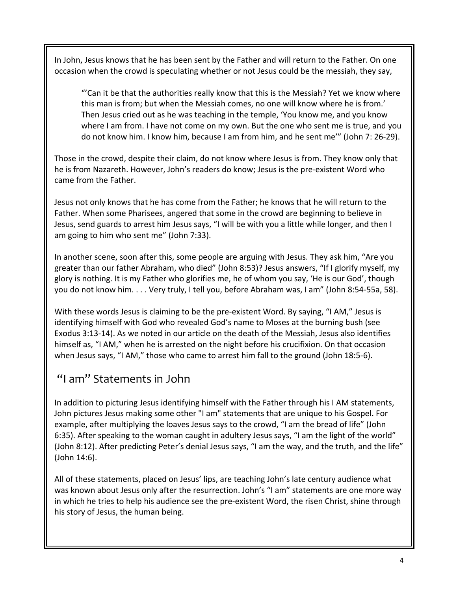In John, Jesus knows that he has been sent by the Father and will return to the Father. On one occasion when the crowd is speculating whether or not Jesus could be the messiah, they say,

"'Can it be that the authorities really know that this is the Messiah? Yet we know where this man is from; but when the Messiah comes, no one will know where he is from.' Then Jesus cried out as he was teaching in the temple, 'You know me, and you know where I am from. I have not come on my own. But the one who sent me is true, and you do not know him. I know him, because I am from him, and he sent me'" (John 7: 26-29).

Those in the crowd, despite their claim, do not know where Jesus is from. They know only that he is from Nazareth. However, John's readers do know; Jesus is the pre-existent Word who came from the Father.

Jesus not only knows that he has come from the Father; he knows that he will return to the Father. When some Pharisees, angered that some in the crowd are beginning to believe in Jesus, send guards to arrest him Jesus says, "I will be with you a little while longer, and then I am going to him who sent me" (John 7:33).

In another scene, soon after this, some people are arguing with Jesus. They ask him, "Are you greater than our father Abraham, who died" (John 8:53)? Jesus answers, "If I glorify myself, my glory is nothing. It is my Father who glorifies me, he of whom you say, 'He is our God', though you do not know him. . . . Very truly, I tell you, before Abraham was, I am" (John 8:54-55a, 58).

With these words Jesus is claiming to be the pre-existent Word. By saying, "I AM," Jesus is identifying himself with God who revealed God's name to Moses at the burning bush (see Exodus 3:13-14). As we noted in our article on the death of the Messiah, Jesus also identifies himself as, "I AM," when he is arrested on the night before his crucifixion. On that occasion when Jesus says, "I AM," those who came to arrest him fall to the ground (John 18:5-6).

#### "I am" Statements in John

In addition to picturing Jesus identifying himself with the Father through his I AM statements, John pictures Jesus making some other "I am" statements that are unique to his Gospel. For example, after multiplying the loaves Jesus says to the crowd, "I am the bread of life" (John 6:35). After speaking to the woman caught in adultery Jesus says, "I am the light of the world" (John 8:12). After predicting Peter's denial Jesus says, "I am the way, and the truth, and the life" (John 14:6).

All of these statements, placed on Jesus' lips, are teaching John's late century audience what was known about Jesus only after the resurrection. John's "I am" statements are one more way in which he tries to help his audience see the pre-existent Word, the risen Christ, shine through his story of Jesus, the human being.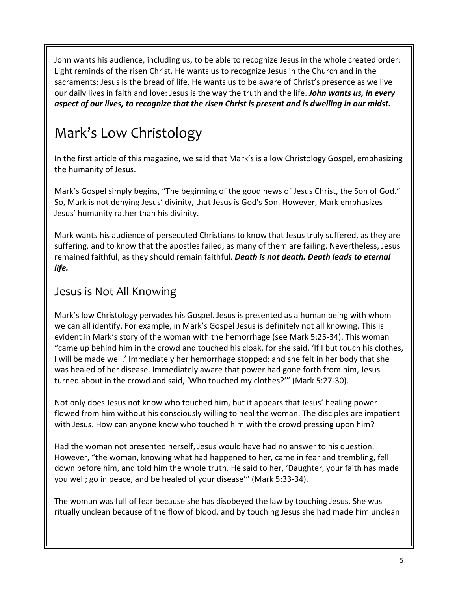John wants his audience, including us, to be able to recognize Jesus in the whole created order: Light reminds of the risen Christ. He wants us to recognize Jesus in the Church and in the sacraments: Jesus is the bread of life. He wants us to be aware of Christ's presence as we live our daily lives in faith and love: Jesus is the way the truth and the life. *John wants us, in every aspect of our lives, to recognize that the risen Christ is present and is dwelling in our midst.* 

## Mark's Low Christology

In the first article of this magazine, we said that Mark's is a low Christology Gospel, emphasizing the humanity of Jesus.

Mark's Gospel simply begins, "The beginning of the good news of Jesus Christ, the Son of God." So, Mark is not denying Jesus' divinity, that Jesus is God's Son. However, Mark emphasizes Jesus' humanity rather than his divinity.

Mark wants his audience of persecuted Christians to know that Jesus truly suffered, as they are suffering, and to know that the apostles failed, as many of them are failing. Nevertheless, Jesus remained faithful, as they should remain faithful. *Death is not death. Death leads to eternal life.* 

#### Jesus is Not All Knowing

Mark's low Christology pervades his Gospel. Jesus is presented as a human being with whom we can all identify. For example, in Mark's Gospel Jesus is definitely not all knowing. This is evident in Mark's story of the woman with the hemorrhage (see Mark 5:25-34). This woman "came up behind him in the crowd and touched his cloak, for she said, 'If I but touch his clothes, I will be made well.' Immediately her hemorrhage stopped; and she felt in her body that she was healed of her disease. Immediately aware that power had gone forth from him, Jesus turned about in the crowd and said, 'Who touched my clothes?'" (Mark 5:27-30).

Not only does Jesus not know who touched him, but it appears that Jesus' healing power flowed from him without his consciously willing to heal the woman. The disciples are impatient with Jesus. How can anyone know who touched him with the crowd pressing upon him?

Had the woman not presented herself, Jesus would have had no answer to his question. However, "the woman, knowing what had happened to her, came in fear and trembling, fell down before him, and told him the whole truth. He said to her, 'Daughter, your faith has made you well; go in peace, and be healed of your disease'" (Mark 5:33-34).

The woman was full of fear because she has disobeyed the law by touching Jesus. She was ritually unclean because of the flow of blood, and by touching Jesus she had made him unclean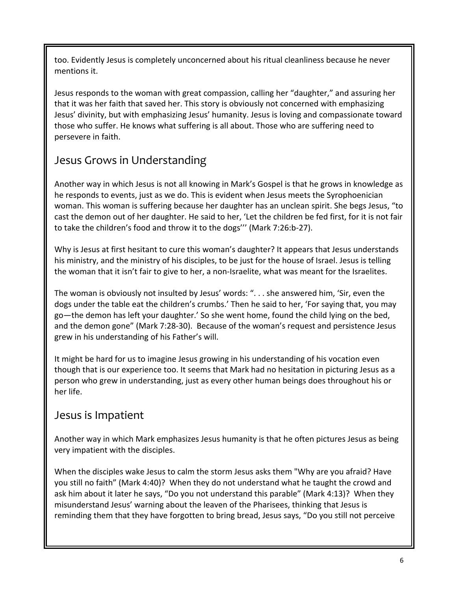too. Evidently Jesus is completely unconcerned about his ritual cleanliness because he never mentions it.

Jesus responds to the woman with great compassion, calling her "daughter," and assuring her that it was her faith that saved her. This story is obviously not concerned with emphasizing Jesus' divinity, but with emphasizing Jesus' humanity. Jesus is loving and compassionate toward those who suffer. He knows what suffering is all about. Those who are suffering need to persevere in faith.

### Jesus Grows in Understanding

Another way in which Jesus is not all knowing in Mark's Gospel is that he grows in knowledge as he responds to events, just as we do. This is evident when Jesus meets the Syrophoenician woman. This woman is suffering because her daughter has an unclean spirit. She begs Jesus, "to cast the demon out of her daughter. He said to her, 'Let the children be fed first, for it is not fair to take the children's food and throw it to the dogs''' (Mark 7:26:b-27).

Why is Jesus at first hesitant to cure this woman's daughter? It appears that Jesus understands his ministry, and the ministry of his disciples, to be just for the house of Israel. Jesus is telling the woman that it isn't fair to give to her, a non-Israelite, what was meant for the Israelites.

The woman is obviously not insulted by Jesus' words: ". . . she answered him, 'Sir, even the dogs under the table eat the children's crumbs.' Then he said to her, 'For saying that, you may go—the demon has left your daughter.' So she went home, found the child lying on the bed, and the demon gone" (Mark 7:28-30). Because of the woman's request and persistence Jesus grew in his understanding of his Father's will.

It might be hard for us to imagine Jesus growing in his understanding of his vocation even though that is our experience too. It seems that Mark had no hesitation in picturing Jesus as a person who grew in understanding, just as every other human beings does throughout his or her life.

#### Jesus is Impatient

Another way in which Mark emphasizes Jesus humanity is that he often pictures Jesus as being very impatient with the disciples.

When the disciples wake Jesus to calm the storm Jesus asks them "Why are you afraid? Have you still no faith" (Mark 4:40)? When they do not understand what he taught the crowd and ask him about it later he says, "Do you not understand this parable" (Mark 4:13)? When they misunderstand Jesus' warning about the leaven of the Pharisees, thinking that Jesus is reminding them that they have forgotten to bring bread, Jesus says, "Do you still not perceive